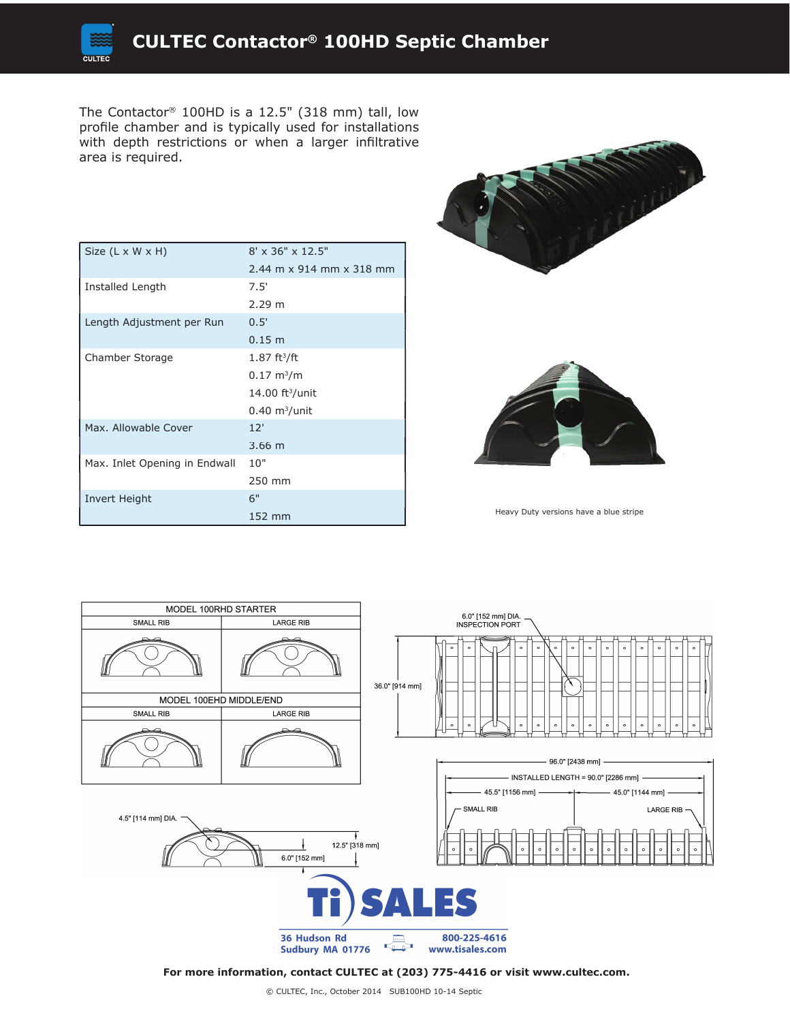

The Contactor® 100HD is a 12.5" (318 mm) tall, low profile chamber and is typically used for installations with depth restrictions or when a larger infiltrative area is required.

| Size $(L \times W \times H)$  | $8' \times 36'' \times 12.5''$       |
|-------------------------------|--------------------------------------|
|                               | 2.44 m x 914 mm x 318 mm             |
| Installed Length              | 7.5'                                 |
|                               | 2.29 m                               |
| Length Adjustment per Run     | 0.5'                                 |
|                               | $0.15 \; m$                          |
| Chamber Storage               | $1.87 \text{ ft}^3/\text{ft}$        |
|                               | $0.17 \; \mathrm{m}^3/\mathrm{m}$    |
|                               | $14.00$ ft <sup>3</sup> /unit        |
|                               | $0.40 \; \mathrm{m}^3/\mathrm{unit}$ |
| Max. Allowable Cover          | 12'                                  |
|                               | $3.66 \; m$                          |
| Max. Inlet Opening in Endwall | 10"                                  |
|                               | 250 mm                               |
| Invert Height                 | 6"                                   |
|                               | 152 mm                               |





Heavy Duty versions have a blue stripe



**For more information, contact CULTEC at (203) 775-4416 or visit www.cultec.com.**